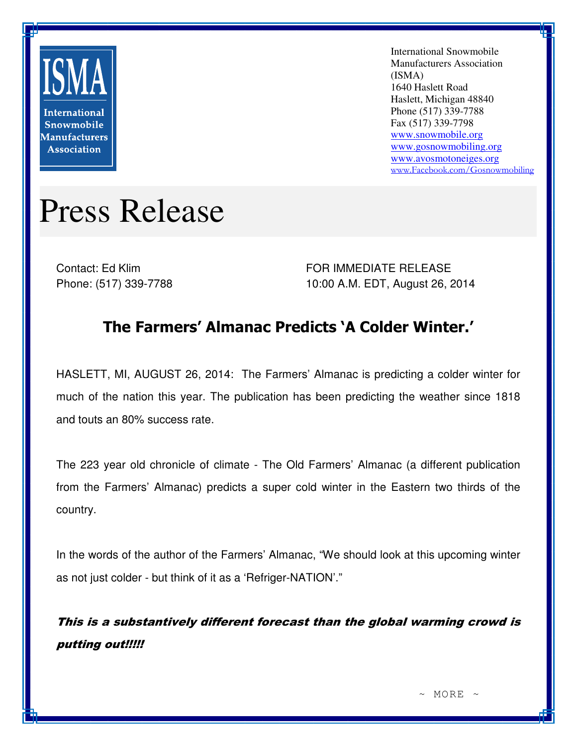

International Snowmobile Manufacturers Association (ISMA) 1640 Haslett Road Haslett, Michigan 48840 Phone (517) 339-7788 Fax (517) 339-7798 www.snowmobile.org www.gosnowmobiling.org www.avosmotoneiges.org www.Facebook.com/Gosnowmobiling

## Press Release

Contact: Ed Klim Phone: (517) 339-7788 FOR IMMEDIATE RELEASE 10:00 A.M. EDT, August 26, 2014

## The Farmers' Almanac Predicts 'A Colder Winter.'

HASLETT, MI, AUGUST 26, 2014: The Farmers' Almanac is predicting a colder winter for much of the nation this year. The publication has been predicting the weather since 1818 and touts an 80% success rate.

The 223 year old chronicle of climate - The Old Farmers' Almanac (a different publication from the Farmers' Almanac) predicts a super cold winter in the Eastern two thirds of the country.

In the words of the author of the Farmers' Almanac, "We should look at this upcoming winter as not just colder - but think of it as a 'Refriger-NATION'."

This is a substantively different forecast than the global warming crowd is putting out!!!!!